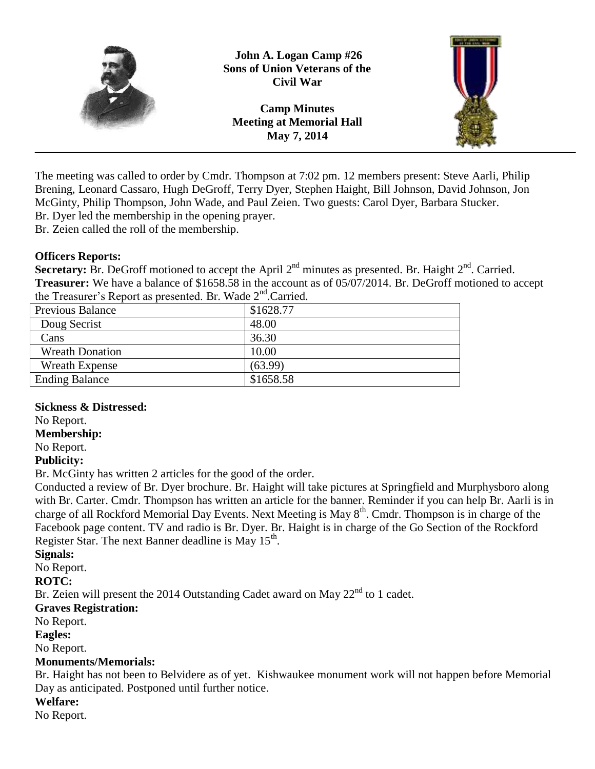

The meeting was called to order by Cmdr. Thompson at 7:02 pm. 12 members present: Steve Aarli, Philip Brening, Leonard Cassaro, Hugh DeGroff, Terry Dyer, Stephen Haight, Bill Johnson, David Johnson, Jon McGinty, Philip Thompson, John Wade, and Paul Zeien. Two guests: Carol Dyer, Barbara Stucker. Br. Dyer led the membership in the opening prayer.

Br. Zeien called the roll of the membership.

#### **Officers Reports:**

**Secretary:** Br. DeGroff motioned to accept the April  $2<sup>nd</sup>$  minutes as presented. Br. Haight  $2<sup>nd</sup>$ . Carried. **Treasurer:** We have a balance of \$1658.58 in the account as of 05/07/2014. Br. DeGroff motioned to accept the Treasurer's Report as presented. Br. Wade 2<sup>nd</sup>.Carried.

| Previous Balance       | \$1628.77 |
|------------------------|-----------|
| Doug Secrist           | 48.00     |
| Cans                   | 36.30     |
| <b>Wreath Donation</b> | 10.00     |
| <b>Wreath Expense</b>  | (63.99)   |
| <b>Ending Balance</b>  | \$1658.58 |

#### **Sickness & Distressed:**

No Report.

## **Membership:**

No Report.

## **Publicity:**

Br. McGinty has written 2 articles for the good of the order.

Conducted a review of Br. Dyer brochure. Br. Haight will take pictures at Springfield and Murphysboro along with Br. Carter. Cmdr. Thompson has written an article for the banner. Reminder if you can help Br. Aarli is in charge of all Rockford Memorial Day Events. Next Meeting is May 8<sup>th</sup>. Cmdr. Thompson is in charge of the Facebook page content. TV and radio is Br. Dyer. Br. Haight is in charge of the Go Section of the Rockford Register Star. The next Banner deadline is May  $15<sup>th</sup>$ .

#### **Signals:**

No Report.

**ROTC:**

Br. Zeien will present the 2014 Outstanding Cadet award on May  $22<sup>nd</sup>$  to 1 cadet.

#### **Graves Registration:**

No Report.

#### **Eagles:**

No Report.

## **Monuments/Memorials:**

Br. Haight has not been to Belvidere as of yet. Kishwaukee monument work will not happen before Memorial Day as anticipated. Postponed until further notice.

# **Welfare:**

No Report.